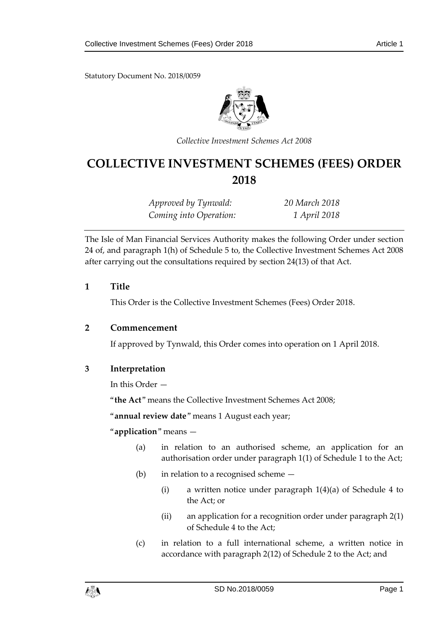Statutory Document No. 2018/0059



*Collective Investment Schemes Act 2008*

# **COLLECTIVE INVESTMENT SCHEMES (FEES) ORDER 2018**

*Approved by Tynwald: 20 March 2018 Coming into Operation: 1 April 2018*

The Isle of Man Financial Services Authority makes the following Order under section 24 of, and paragraph 1(h) of Schedule 5 to, the Collective Investment Schemes Act 2008 after carrying out the consultations required by section 24(13) of that Act.

#### **1 Title**

This Order is the Collective Investment Schemes (Fees) Order 2018.

#### **2 Commencement**

If approved by Tynwald, this Order comes into operation on 1 April 2018.

# **3 Interpretation**

In this Order —

"**the Act**" means the Collective Investment Schemes Act 2008;

"**annual review date**" means 1 August each year;

"**application**" means —

- (a) in relation to an authorised scheme, an application for an authorisation order under paragraph 1(1) of Schedule 1 to the Act;
- (b) in relation to a recognised scheme
	- (i) a written notice under paragraph 1(4)(a) of Schedule 4 to the Act; or
	- (ii) an application for a recognition order under paragraph 2(1) of Schedule 4 to the Act;
- (c) in relation to a full international scheme, a written notice in accordance with paragraph 2(12) of Schedule 2 to the Act; and

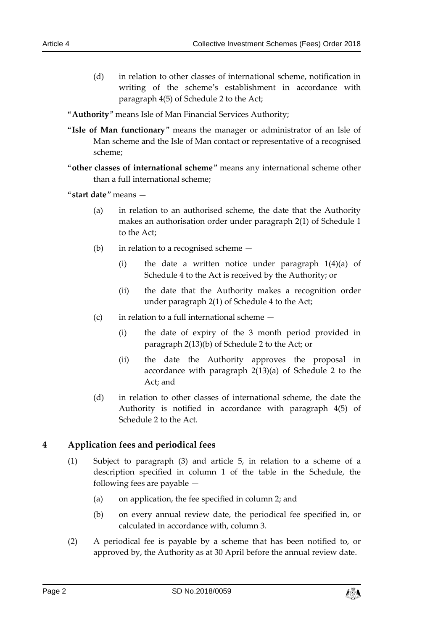(d) in relation to other classes of international scheme, notification in writing of the scheme's establishment in accordance with paragraph 4(5) of Schedule 2 to the Act;

"**Authority**" means Isle of Man Financial Services Authority;

- "**Isle of Man functionary**" means the manager or administrator of an Isle of Man scheme and the Isle of Man contact or representative of a recognised scheme;
- "**other classes of international scheme**" means any international scheme other than a full international scheme;

"**start date**" means —

- (a) in relation to an authorised scheme, the date that the Authority makes an authorisation order under paragraph 2(1) of Schedule 1 to the Act;
- (b) in relation to a recognised scheme
	- (i) the date a written notice under paragraph 1(4)(a) of Schedule 4 to the Act is received by the Authority; or
	- (ii) the date that the Authority makes a recognition order under paragraph 2(1) of Schedule 4 to the Act;
- (c) in relation to a full international scheme
	- (i) the date of expiry of the 3 month period provided in paragraph 2(13)(b) of Schedule 2 to the Act; or
	- (ii) the date the Authority approves the proposal in accordance with paragraph 2(13)(a) of Schedule 2 to the Act; and
- (d) in relation to other classes of international scheme, the date the Authority is notified in accordance with paragraph 4(5) of Schedule 2 to the Act.

# **4 Application fees and periodical fees**

- (1) Subject to paragraph (3) and article 5, in relation to a scheme of a description specified in column 1 of the table in the Schedule, the following fees are payable —
	- (a) on application, the fee specified in column 2; and
	- (b) on every annual review date, the periodical fee specified in, or calculated in accordance with, column 3.
- (2) A periodical fee is payable by a scheme that has been notified to, or approved by, the Authority as at 30 April before the annual review date.

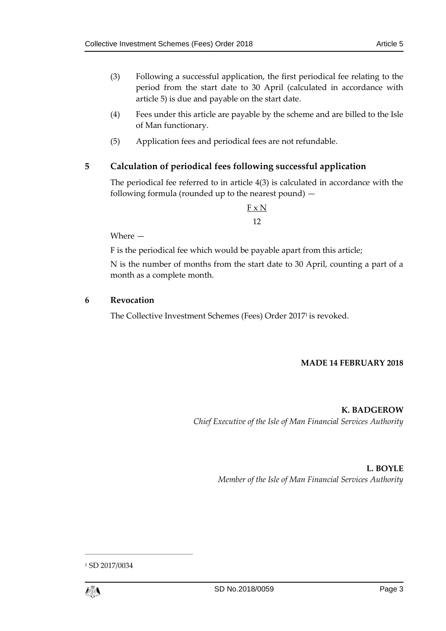- (3) Following a successful application, the first periodical fee relating to the period from the start date to 30 April (calculated in accordance with article 5) is due and payable on the start date.
- (4) Fees under this article are payable by the scheme and are billed to the Isle of Man functionary.
- (5) Application fees and periodical fees are not refundable.

# **5 Calculation of periodical fees following successful application**

The periodical fee referred to in article 4(3) is calculated in accordance with the following formula (rounded up to the nearest pound) —

> $F \times N$ 12

Where —

F is the periodical fee which would be payable apart from this article;

N is the number of months from the start date to 30 April, counting a part of a month as a complete month.

#### **6 Revocation**

The Collective Investment Schemes (Fees) Order 2017<sup>1</sup> is revoked.

#### **MADE 14 FEBRUARY 2018**

**K. BADGEROW** *Chief Executive of the Isle of Man Financial Services Authority*

# **L. BOYLE**

*Member of the Isle of Man Financial Services Authority*

<sup>1</sup> SD 2017/0034



 $\overline{a}$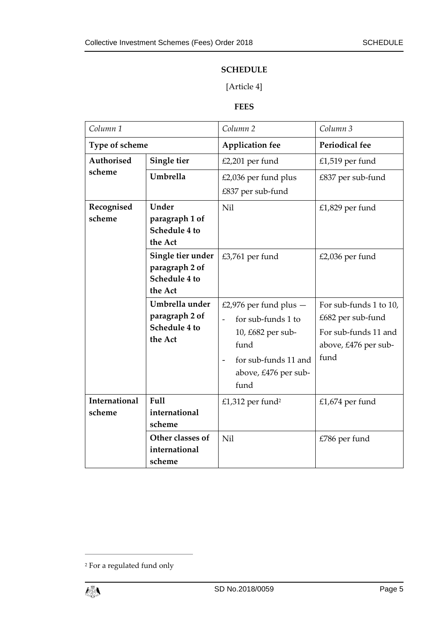#### **SCHEDULE**

# [Article 4]

#### **FEES**

| Column <sub>1</sub>            |                                                                 | Column <sub>2</sub>                                                                                                                                                               | Column 3                                                                                            |
|--------------------------------|-----------------------------------------------------------------|-----------------------------------------------------------------------------------------------------------------------------------------------------------------------------------|-----------------------------------------------------------------------------------------------------|
| Type of scheme                 |                                                                 | <b>Application fee</b>                                                                                                                                                            | Periodical fee                                                                                      |
| <b>Authorised</b>              | Single tier                                                     | $£2,201$ per fund                                                                                                                                                                 | £1,519 per fund                                                                                     |
| scheme                         | Umbrella                                                        | £2,036 per fund plus                                                                                                                                                              | £837 per sub-fund                                                                                   |
|                                |                                                                 | £837 per sub-fund                                                                                                                                                                 |                                                                                                     |
| Recognised<br>scheme           | Under<br>paragraph 1 of<br>Schedule 4 to<br>the Act             | Nil                                                                                                                                                                               | £1,829 per fund                                                                                     |
|                                | Single tier under<br>paragraph 2 of<br>Schedule 4 to<br>the Act | £3,761 per fund                                                                                                                                                                   | £2,036 per fund                                                                                     |
|                                | Umbrella under<br>paragraph 2 of<br>Schedule 4 to<br>the Act    | £2,976 per fund plus $-$<br>for sub-funds 1 to<br>$\overline{a}$<br>10, £682 per sub-<br>fund<br>for sub-funds 11 and<br>$\overline{\phantom{0}}$<br>above, £476 per sub-<br>fund | For sub-funds 1 to 10,<br>£682 per sub-fund<br>For sub-funds 11 and<br>above, £476 per sub-<br>fund |
| <b>International</b><br>scheme | Full<br>international<br>scheme                                 | £1,312 per fund <sup>2</sup>                                                                                                                                                      | £1,674 per fund                                                                                     |
|                                | Other classes of<br>international<br>scheme                     | Nil                                                                                                                                                                               | £786 per fund                                                                                       |

<sup>2</sup> For a regulated fund only



 $\overline{a}$